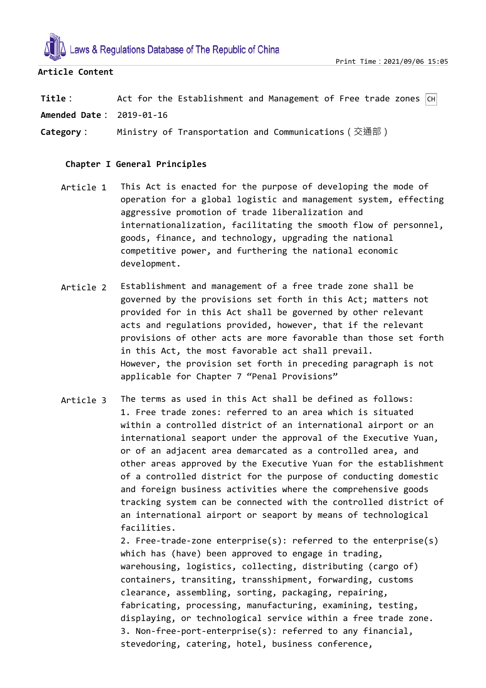

# **Article Content**

**Title**: Act for the Establishment and Management of Free trade zones  $|CH|$ 

**Amended Date:** 2019-01-16

**Category:** Ministry of Transportation and Communications(交通部)

# **Chapter I General Principles**

- Article 1 This Act is enacted for the purpose of developing the mode of operation for a global logistic and management system, effecting aggressive promotion of trade liberalization and internationalization, facilitating the smooth flow of personnel, goods, finance, and technology, upgrading the national competitive power, and furthering the national economic development.
- Article 2 Establishment and management of a free trade zone shall be governed by the provisions set forth in this Act; matters not provided for in this Act shall be governed by other relevant acts and regulations provided, however, that if the relevant provisions of other acts are more favorable than those set forth in this Act, the most favorable act shall prevail. However, the provision set forth in preceding paragraph is not applicable for Chapter 7 "Penal Provisions"
- Article 3 The terms as used in this Act shall be defined as follows: 1. Free trade zones: referred to an area which is situated within a controlled district of an international airport or an international seaport under the approval of the Executive Yuan, or of an adjacent area demarcated as a controlled area, and other areas approved by the Executive Yuan for the establishment of a controlled district for the purpose of conducting domestic and foreign business activities where the comprehensive goods tracking system can be connected with the controlled district of an international airport or seaport by means of technological facilities.

2. Free-trade-zone enterprise(s): referred to the enterprise(s) which has (have) been approved to engage in trading, warehousing, logistics, collecting, distributing (cargo of) containers, transiting, transshipment, forwarding, customs clearance, assembling, sorting, packaging, repairing, fabricating, processing, manufacturing, examining, testing, displaying, or technological service within a free trade zone. 3. Non-free-port-enterprise(s): referred to any financial, stevedoring, catering, hotel, business conference,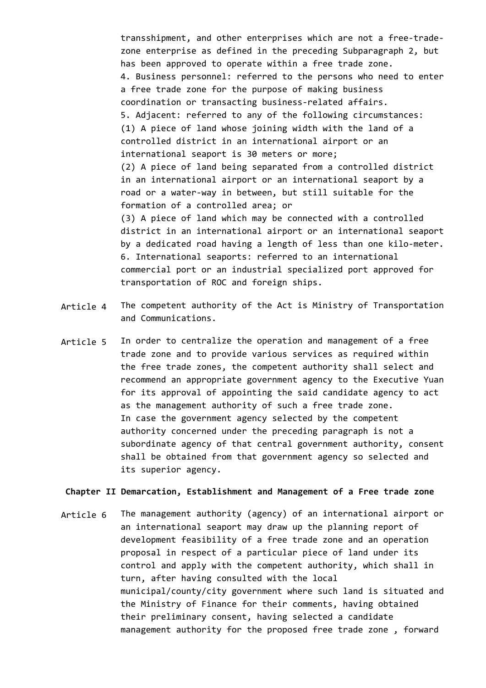transshipment, and other enterprises which are not a free-tradezone enterprise as defined in the preceding Subparagraph 2, but has been approved to operate within a free trade zone. 4. Business personnel: referred to the persons who need to enter a free trade zone for the purpose of making business coordination or transacting business-related affairs. 5. Adjacent: referred to any of the following circumstances: (1) A piece of land whose joining width with the land of a controlled district in an international airport or an international seaport is 30 meters or more; (2) A piece of land being separated from a controlled district in an international airport or an international seaport by a road or a water-way in between, but still suitable for the formation of a controlled area; or (3) A piece of land which may be connected with a controlled district in an international airport or an international seaport by a dedicated road having a length of less than one kilo-meter. 6. International seaports: referred to an international commercial port or an industrial specialized port approved for transportation of ROC and foreign ships.

- Article 4 The competent authority of the Act is Ministry of Transportation and Communications.
- Article 5 In order to centralize the operation and management of a free trade zone and to provide various services as required within the free trade zones, the competent authority shall select and recommend an appropriate government agency to the Executive Yuan for its approval of appointing the said candidate agency to act as the management authority of such a free trade zone. In case the government agency selected by the competent authority concerned under the preceding paragraph is not a subordinate agency of that central government authority, consent shall be obtained from that government agency so selected and its superior agency.

### **Chapter II Demarcation, Establishment and Management of a Free trade zone**

Article 6 The management authority (agency) of an international airport or an international seaport may draw up the planning report of development feasibility of a free trade zone and an operation proposal in respect of a particular piece of land under its control and apply with the competent authority, which shall in turn, after having consulted with the local municipal/county/city government where such land is situated and the Ministry of Finance for their comments, having obtained their preliminary consent, having selected a candidate management authority for the proposed free trade zone , forward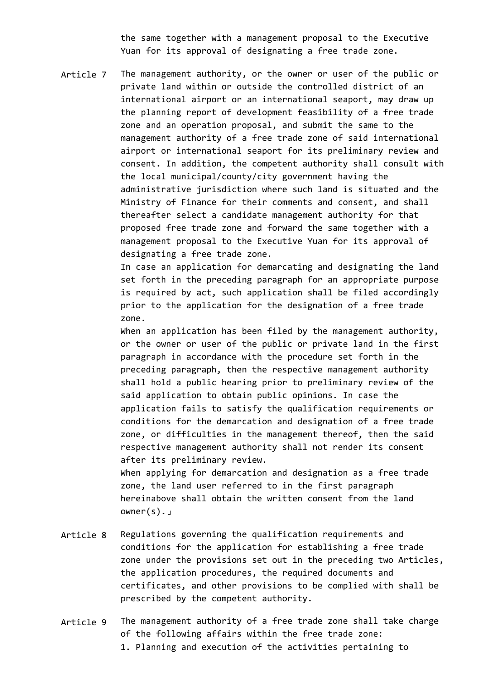the same together with a management proposal to the Executive Yuan for its approval of designating a free trade zone.

Article 7 The management authority, or the owner or user of the public or private land within or outside the controlled district of an international airport or an international seaport, may draw up the planning report of development feasibility of a free trade zone and an operation proposal, and submit the same to the management authority of a free trade zone of said international airport or international seaport for its preliminary review and consent. In addition, the competent authority shall consult with the local municipal/county/city government having the administrative jurisdiction where such land is situated and the Ministry of Finance for their comments and consent, and shall thereafter select a candidate management authority for that proposed free trade zone and forward the same together with a management proposal to the Executive Yuan for its approval of designating a free trade zone.

> In case an application for demarcating and designating the land set forth in the preceding paragraph for an appropriate purpose is required by act, such application shall be filed accordingly prior to the application for the designation of a free trade zone.

> When an application has been filed by the management authority, or the owner or user of the public or private land in the first paragraph in accordance with the procedure set forth in the preceding paragraph, then the respective management authority shall hold a public hearing prior to preliminary review of the said application to obtain public opinions. In case the application fails to satisfy the qualification requirements or conditions for the demarcation and designation of a free trade zone, or difficulties in the management thereof, then the said respective management authority shall not render its consent after its preliminary review.

When applying for demarcation and designation as a free trade zone, the land user referred to in the first paragraph hereinabove shall obtain the written consent from the land owner(s).」

- Article 8 Regulations governing the qualification requirements and conditions for the application for establishing a free trade zone under the provisions set out in the preceding two Articles, the application procedures, the required documents and certificates, and other provisions to be complied with shall be prescribed by the competent authority.
- Article 9 The management authority of a free trade zone shall take charge of the following affairs within the free trade zone:
	- 1. Planning and execution of the activities pertaining to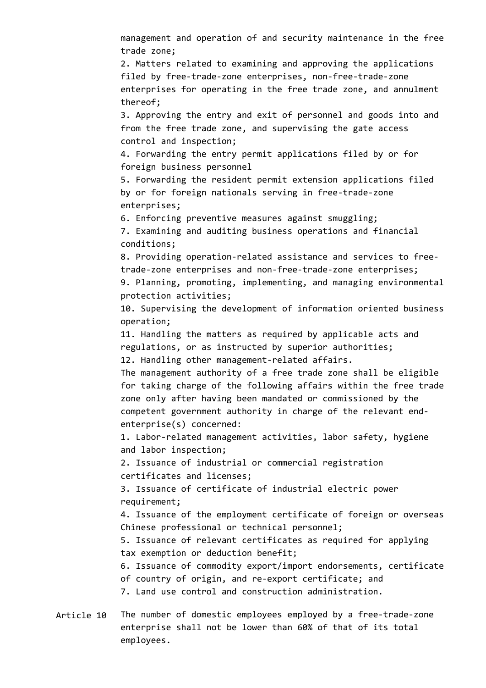management and operation of and security maintenance in the free trade zone;

2. Matters related to examining and approving the applications filed by free-trade-zone enterprises, non-free-trade-zone enterprises for operating in the free trade zone, and annulment thereof;

3. Approving the entry and exit of personnel and goods into and from the free trade zone, and supervising the gate access control and inspection;

4. Forwarding the entry permit applications filed by or for foreign business personnel

5. Forwarding the resident permit extension applications filed by or for foreign nationals serving in free-trade-zone enterprises;

6. Enforcing preventive measures against smuggling;

7. Examining and auditing business operations and financial conditions;

8. Providing operation-related assistance and services to freetrade-zone enterprises and non-free-trade-zone enterprises;

9. Planning, promoting, implementing, and managing environmental protection activities;

10. Supervising the development of information oriented business operation;

11. Handling the matters as required by applicable acts and regulations, or as instructed by superior authorities;

12. Handling other management-related affairs.

The management authority of a free trade zone shall be eligible for taking charge of the following affairs within the free trade zone only after having been mandated or commissioned by the competent government authority in charge of the relevant endenterprise(s) concerned:

1. Labor-related management activities, labor safety, hygiene and labor inspection;

2. Issuance of industrial or commercial registration certificates and licenses;

3. Issuance of certificate of industrial electric power requirement;

4. Issuance of the employment certificate of foreign or overseas Chinese professional or technical personnel;

5. Issuance of relevant certificates as required for applying tax exemption or deduction benefit;

6. Issuance of commodity export/import endorsements, certificate of country of origin, and re-export certificate; and

7. Land use control and construction administration.

Article 10 The number of domestic employees employed by a free-trade-zone enterprise shall not be lower than 60% of that of its total employees.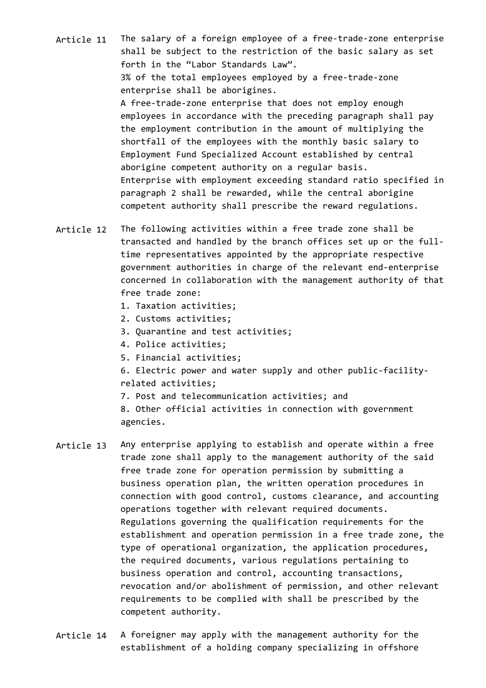Article 11 The salary of a foreign employee of a free-trade-zone enterprise shall be subject to the restriction of the basic salary as set forth in the "Labor Standards Law". 3% of the total employees employed by a free-trade-zone enterprise shall be aborigines. A free-trade-zone enterprise that does not employ enough employees in accordance with the preceding paragraph shall pay the employment contribution in the amount of multiplying the shortfall of the employees with the monthly basic salary to Employment Fund Specialized Account established by central aborigine competent authority on a regular basis. Enterprise with employment exceeding standard ratio specified in paragraph 2 shall be rewarded, while the central aborigine competent authority shall prescribe the reward regulations.

- Article 12 The following activities within a free trade zone shall be transacted and handled by the branch offices set up or the fulltime representatives appointed by the appropriate respective government authorities in charge of the relevant end-enterprise concerned in collaboration with the management authority of that free trade zone:
	- 1. Taxation activities;
	- 2. Customs activities;
	- 3. Quarantine and test activities;
	- 4. Police activities;
	- 5. Financial activities;
	- 6. Electric power and water supply and other public-facilityrelated activities;
	- 7. Post and telecommunication activities; and

8. Other official activities in connection with government agencies.

- Article 13 Any enterprise applying to establish and operate within a free trade zone shall apply to the management authority of the said free trade zone for operation permission by submitting a business operation plan, the written operation procedures in connection with good control, customs clearance, and accounting operations together with relevant required documents. Regulations governing the qualification requirements for the establishment and operation permission in a free trade zone, the type of operational organization, the application procedures, the required documents, various regulations pertaining to business operation and control, accounting transactions, revocation and/or abolishment of permission, and other relevant requirements to be complied with shall be prescribed by the competent authority.
- Article 14 A foreigner may apply with the management authority for the establishment of a holding company specializing in offshore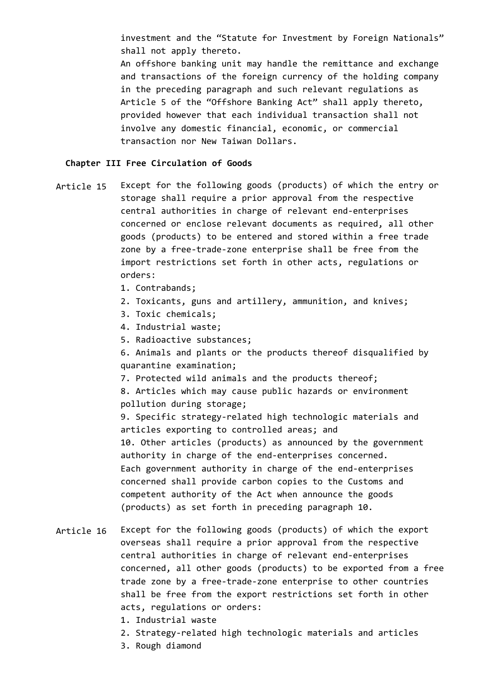investment and the "Statute for Investment by Foreign Nationals" shall not apply thereto.

An offshore banking unit may handle the remittance and exchange and transactions of the foreign currency of the holding company in the preceding paragraph and such relevant regulations as Article 5 of the "Offshore Banking Act" shall apply thereto, provided however that each individual transaction shall not involve any domestic financial, economic, or commercial transaction nor New Taiwan Dollars.

### **Chapter III Free Circulation of Goods**

Article 15 Except for the following goods (products) of which the entry or storage shall require a prior approval from the respective central authorities in charge of relevant end-enterprises concerned or enclose relevant documents as required, all other goods (products) to be entered and stored within a free trade zone by a free-trade-zone enterprise shall be free from the import restrictions set forth in other acts, regulations or orders:

- 1. Contrabands;
- 2. Toxicants, guns and artillery, ammunition, and knives;
- 3. Toxic chemicals;
- 4. Industrial waste;
- 5. Radioactive substances;

6. Animals and plants or the products thereof disqualified by quarantine examination;

7. Protected wild animals and the products thereof;

8. Articles which may cause public hazards or environment pollution during storage;

9. Specific strategy-related high technologic materials and articles exporting to controlled areas; and 10. Other articles (products) as announced by the government authority in charge of the end-enterprises concerned. Each government authority in charge of the end-enterprises concerned shall provide carbon copies to the Customs and competent authority of the Act when announce the goods (products) as set forth in preceding paragraph 10.

Article 16 Except for the following goods (products) of which the export overseas shall require a prior approval from the respective central authorities in charge of relevant end-enterprises concerned, all other goods (products) to be exported from a free trade zone by a free-trade-zone enterprise to other countries shall be free from the export restrictions set forth in other acts, regulations or orders:

- 1. Industrial waste
- 2. Strategy-related high technologic materials and articles
- 3. Rough diamond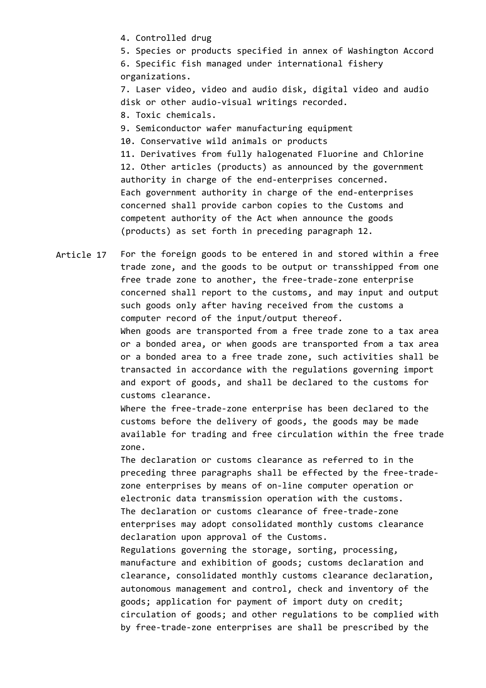4. Controlled drug

5. Species or products specified in annex of Washington Accord 6. Specific fish managed under international fishery organizations.

7. Laser video, video and audio disk, digital video and audio disk or other audio-visual writings recorded.

- 8. Toxic chemicals.
- 9. Semiconductor wafer manufacturing equipment
- 10. Conservative wild animals or products

11. Derivatives from fully halogenated Fluorine and Chlorine 12. Other articles (products) as announced by the government authority in charge of the end-enterprises concerned. Each government authority in charge of the end-enterprises concerned shall provide carbon copies to the Customs and competent authority of the Act when announce the goods (products) as set forth in preceding paragraph 12.

Article 17 For the foreign goods to be entered in and stored within a free trade zone, and the goods to be output or transshipped from one free trade zone to another, the free-trade-zone enterprise concerned shall report to the customs, and may input and output such goods only after having received from the customs a computer record of the input/output thereof. When goods are transported from a free trade zone to a tax area or a bonded area, or when goods are transported from a tax area or a bonded area to a free trade zone, such activities shall be transacted in accordance with the regulations governing import and export of goods, and shall be declared to the customs for customs clearance.

> Where the free-trade-zone enterprise has been declared to the customs before the delivery of goods, the goods may be made available for trading and free circulation within the free trade zone.

The declaration or customs clearance as referred to in the preceding three paragraphs shall be effected by the free-tradezone enterprises by means of on-line computer operation or electronic data transmission operation with the customs. The declaration or customs clearance of free-trade-zone enterprises may adopt consolidated monthly customs clearance declaration upon approval of the Customs.

Regulations governing the storage, sorting, processing, manufacture and exhibition of goods; customs declaration and clearance, consolidated monthly customs clearance declaration, autonomous management and control, check and inventory of the goods; application for payment of import duty on credit; circulation of goods; and other regulations to be complied with by free-trade-zone enterprises are shall be prescribed by the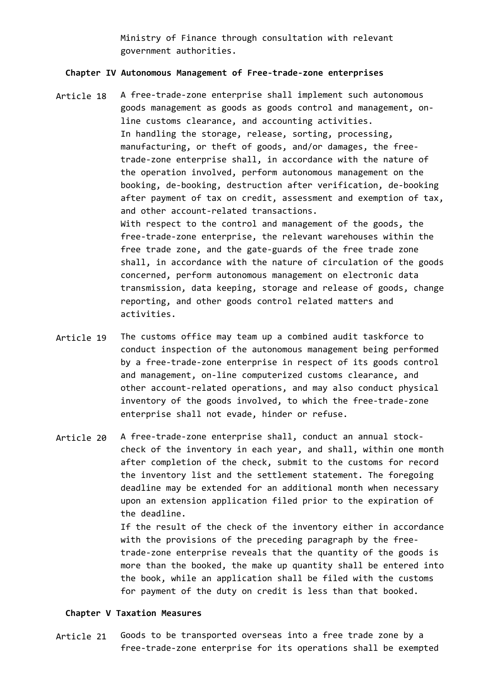Ministry of Finance through consultation with relevant government authorities.

#### **Chapter IV Autonomous Management of Free-trade-zone enterprises**

- Article 18 A free-trade-zone enterprise shall implement such autonomous goods management as goods as goods control and management, online customs clearance, and accounting activities. In handling the storage, release, sorting, processing, manufacturing, or theft of goods, and/or damages, the freetrade-zone enterprise shall, in accordance with the nature of the operation involved, perform autonomous management on the booking, de-booking, destruction after verification, de-booking after payment of tax on credit, assessment and exemption of tax, and other account-related transactions. With respect to the control and management of the goods, the free-trade-zone enterprise, the relevant warehouses within the free trade zone, and the gate-guards of the free trade zone shall, in accordance with the nature of circulation of the goods concerned, perform autonomous management on electronic data transmission, data keeping, storage and release of goods, change reporting, and other goods control related matters and activities.
- Article 19 The customs office may team up a combined audit taskforce to conduct inspection of the autonomous management being performed by a free-trade-zone enterprise in respect of its goods control and management, on-line computerized customs clearance, and other account-related operations, and may also conduct physical inventory of the goods involved, to which the free-trade-zone enterprise shall not evade, hinder or refuse.
- Article 20 A free-trade-zone enterprise shall, conduct an annual stockcheck of the inventory in each year, and shall, within one month after completion of the check, submit to the customs for record the inventory list and the settlement statement. The foregoing deadline may be extended for an additional month when necessary upon an extension application filed prior to the expiration of the deadline. If the result of the check of the inventory either in accordance with the provisions of the preceding paragraph by the freetrade-zone enterprise reveals that the quantity of the goods is more than the booked, the make up quantity shall be entered into

the book, while an application shall be filed with the customs for payment of the duty on credit is less than that booked.

# **Chapter V Taxation Measures**

Article 21 Goods to be transported overseas into a free trade zone by a free-trade-zone enterprise for its operations shall be exempted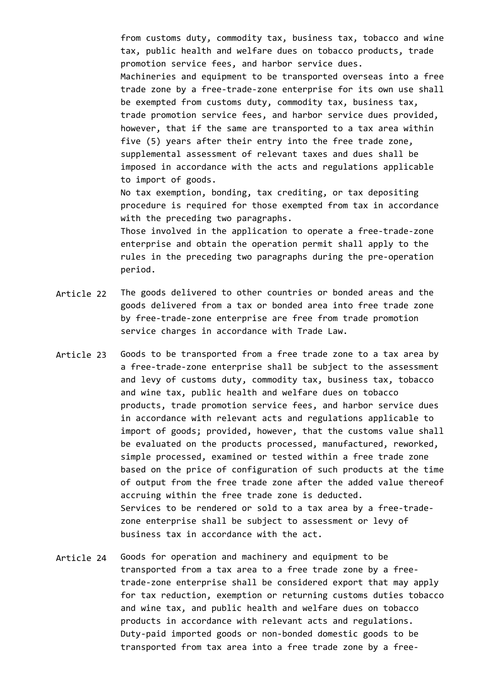from customs duty, commodity tax, business tax, tobacco and wine tax, public health and welfare dues on tobacco products, trade promotion service fees, and harbor service dues. Machineries and equipment to be transported overseas into a free trade zone by a free-trade-zone enterprise for its own use shall be exempted from customs duty, commodity tax, business tax, trade promotion service fees, and harbor service dues provided, however, that if the same are transported to a tax area within five (5) years after their entry into the free trade zone, supplemental assessment of relevant taxes and dues shall be imposed in accordance with the acts and regulations applicable to import of goods.

No tax exemption, bonding, tax crediting, or tax depositing procedure is required for those exempted from tax in accordance with the preceding two paragraphs.

Those involved in the application to operate a free-trade-zone enterprise and obtain the operation permit shall apply to the rules in the preceding two paragraphs during the pre-operation period.

- Article 22 The goods delivered to other countries or bonded areas and the goods delivered from a tax or bonded area into free trade zone by free-trade-zone enterprise are free from trade promotion service charges in accordance with Trade Law.
- Article 23 Goods to be transported from a free trade zone to a tax area by a free-trade-zone enterprise shall be subject to the assessment and levy of customs duty, commodity tax, business tax, tobacco and wine tax, public health and welfare dues on tobacco products, trade promotion service fees, and harbor service dues in accordance with relevant acts and regulations applicable to import of goods; provided, however, that the customs value shall be evaluated on the products processed, manufactured, reworked, simple processed, examined or tested within a free trade zone based on the price of configuration of such products at the time of output from the free trade zone after the added value thereof accruing within the free trade zone is deducted. Services to be rendered or sold to a tax area by a free-tradezone enterprise shall be subject to assessment or levy of business tax in accordance with the act.
- Article 24 Goods for operation and machinery and equipment to be transported from a tax area to a free trade zone by a freetrade-zone enterprise shall be considered export that may apply for tax reduction, exemption or returning customs duties tobacco and wine tax, and public health and welfare dues on tobacco products in accordance with relevant acts and regulations. Duty-paid imported goods or non-bonded domestic goods to be transported from tax area into a free trade zone by a free-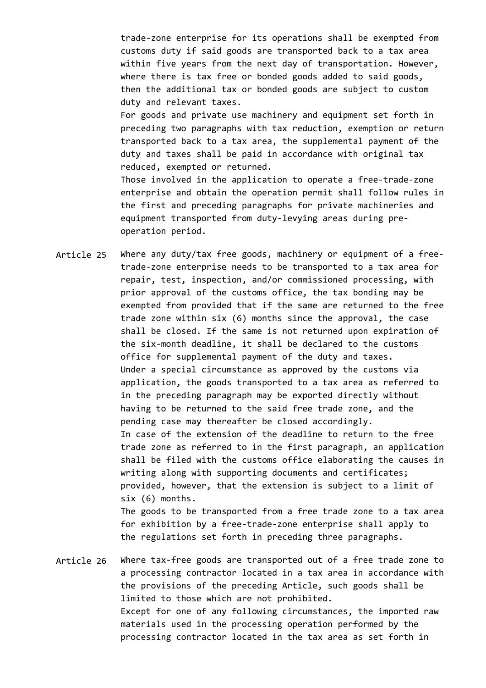trade-zone enterprise for its operations shall be exempted from customs duty if said goods are transported back to a tax area within five years from the next day of transportation. However, where there is tax free or bonded goods added to said goods, then the additional tax or bonded goods are subject to custom duty and relevant taxes.

For goods and private use machinery and equipment set forth in preceding two paragraphs with tax reduction, exemption or return transported back to a tax area, the supplemental payment of the duty and taxes shall be paid in accordance with original tax reduced, exempted or returned.

Those involved in the application to operate a free-trade-zone enterprise and obtain the operation permit shall follow rules in the first and preceding paragraphs for private machineries and equipment transported from duty-levying areas during preoperation period.

Article 25 Where any duty/tax free goods, machinery or equipment of a freetrade-zone enterprise needs to be transported to a tax area for repair, test, inspection, and/or commissioned processing, with prior approval of the customs office, the tax bonding may be exempted from provided that if the same are returned to the free trade zone within six (6) months since the approval, the case shall be closed. If the same is not returned upon expiration of the six-month deadline, it shall be declared to the customs office for supplemental payment of the duty and taxes. Under a special circumstance as approved by the customs via application, the goods transported to a tax area as referred to in the preceding paragraph may be exported directly without having to be returned to the said free trade zone, and the pending case may thereafter be closed accordingly. In case of the extension of the deadline to return to the free trade zone as referred to in the first paragraph, an application shall be filed with the customs office elaborating the causes in writing along with supporting documents and certificates; provided, however, that the extension is subject to a limit of six (6) months. The goods to be transported from a free trade zone to a tax area for exhibition by a free-trade-zone enterprise shall apply to

Article 26 Where tax-free goods are transported out of a free trade zone to a processing contractor located in a tax area in accordance with the provisions of the preceding Article, such goods shall be limited to those which are not prohibited. Except for one of any following circumstances, the imported raw materials used in the processing operation performed by the processing contractor located in the tax area as set forth in

the regulations set forth in preceding three paragraphs.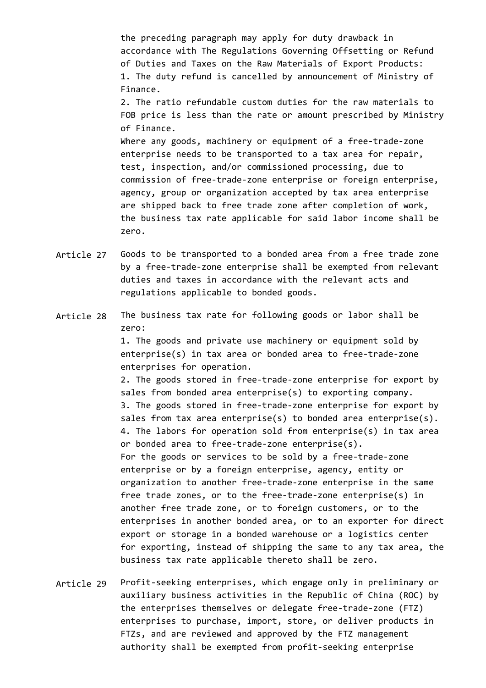the preceding paragraph may apply for duty drawback in accordance with The Regulations Governing Offsetting or Refund of Duties and Taxes on the Raw Materials of Export Products: 1. The duty refund is cancelled by announcement of Ministry of Finance.

2. The ratio refundable custom duties for the raw materials to FOB price is less than the rate or amount prescribed by Ministry of Finance.

Where any goods, machinery or equipment of a free-trade-zone enterprise needs to be transported to a tax area for repair, test, inspection, and/or commissioned processing, due to commission of free-trade-zone enterprise or foreign enterprise, agency, group or organization accepted by tax area enterprise are shipped back to free trade zone after completion of work, the business tax rate applicable for said labor income shall be zero.

- Article 27 Goods to be transported to a bonded area from a free trade zone by a free-trade-zone enterprise shall be exempted from relevant duties and taxes in accordance with the relevant acts and regulations applicable to bonded goods.
- Article 28 The business tax rate for following goods or labor shall be zero:

1. The goods and private use machinery or equipment sold by enterprise(s) in tax area or bonded area to free-trade-zone enterprises for operation.

2. The goods stored in free-trade-zone enterprise for export by sales from bonded area enterprise(s) to exporting company. 3. The goods stored in free-trade-zone enterprise for export by sales from tax area enterprise(s) to bonded area enterprise(s). 4. The labors for operation sold from enterprise(s) in tax area or bonded area to free-trade-zone enterprise(s). For the goods or services to be sold by a free-trade-zone enterprise or by a foreign enterprise, agency, entity or organization to another free-trade-zone enterprise in the same free trade zones, or to the free-trade-zone enterprise(s) in another free trade zone, or to foreign customers, or to the enterprises in another bonded area, or to an exporter for direct export or storage in a bonded warehouse or a logistics center for exporting, instead of shipping the same to any tax area, the business tax rate applicable thereto shall be zero.

Article 29 Profit-seeking enterprises, which engage only in preliminary or auxiliary business activities in the Republic of China (ROC) by the enterprises themselves or delegate free-trade-zone (FTZ) enterprises to purchase, import, store, or deliver products in FTZs, and are reviewed and approved by the FTZ management authority shall be exempted from profit-seeking enterprise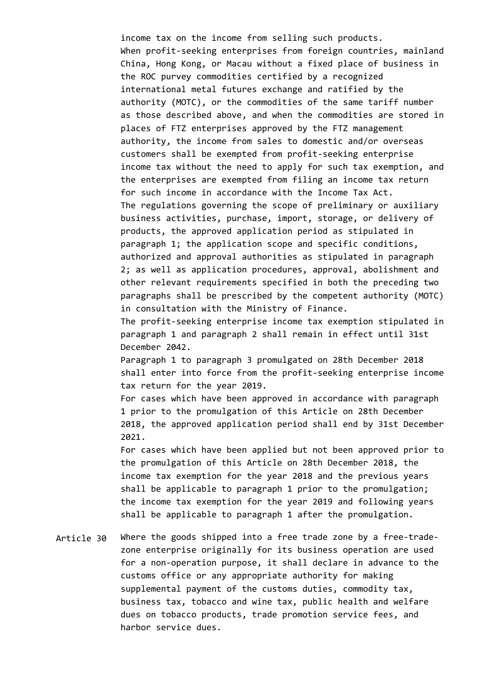income tax on the income from selling such products. When profit-seeking enterprises from foreign countries, mainland China, Hong Kong, or Macau without a fixed place of business in the ROC purvey commodities certified by a recognized international metal futures exchange and ratified by the authority (MOTC), or the commodities of the same tariff number as those described above, and when the commodities are stored in places of FTZ enterprises approved by the FTZ management authority, the income from sales to domestic and/or overseas customers shall be exempted from profit-seeking enterprise income tax without the need to apply for such tax exemption, and the enterprises are exempted from filing an income tax return for such income in accordance with the Income Tax Act. The regulations governing the scope of preliminary or auxiliary business activities, purchase, import, storage, or delivery of products, the approved application period as stipulated in paragraph 1; the application scope and specific conditions, authorized and approval authorities as stipulated in paragraph 2; as well as application procedures, approval, abolishment and other relevant requirements specified in both the preceding two paragraphs shall be prescribed by the competent authority (MOTC) in consultation with the Ministry of Finance.

The profit-seeking enterprise income tax exemption stipulated in paragraph 1 and paragraph 2 shall remain in effect until 31st December 2042.

Paragraph 1 to paragraph 3 promulgated on 28th December 2018 shall enter into force from the profit-seeking enterprise income tax return for the year 2019.

For cases which have been approved in accordance with paragraph 1 prior to the promulgation of this Article on 28th December 2018, the approved application period shall end by 31st December 2021.

For cases which have been applied but not been approved prior to the promulgation of this Article on 28th December 2018, the income tax exemption for the year 2018 and the previous years shall be applicable to paragraph 1 prior to the promulgation; the income tax exemption for the year 2019 and following years shall be applicable to paragraph 1 after the promulgation.

Article 30 Where the goods shipped into a free trade zone by a free-tradezone enterprise originally for its business operation are used for a non-operation purpose, it shall declare in advance to the customs office or any appropriate authority for making supplemental payment of the customs duties, commodity tax, business tax, tobacco and wine tax, public health and welfare dues on tobacco products, trade promotion service fees, and harbor service dues.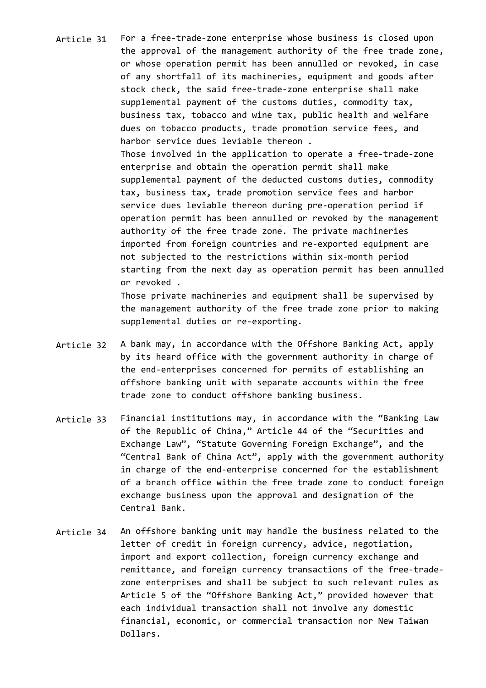- Article 31 For a free-trade-zone enterprise whose business is closed upon the approval of the management authority of the free trade zone, or whose operation permit has been annulled or revoked, in case of any shortfall of its machineries, equipment and goods after stock check, the said free-trade-zone enterprise shall make supplemental payment of the customs duties, commodity tax, business tax, tobacco and wine tax, public health and welfare dues on tobacco products, trade promotion service fees, and harbor service dues leviable thereon . Those involved in the application to operate a free-trade-zone enterprise and obtain the operation permit shall make supplemental payment of the deducted customs duties, commodity tax, business tax, trade promotion service fees and harbor service dues leviable thereon during pre-operation period if operation permit has been annulled or revoked by the management authority of the free trade zone. The private machineries imported from foreign countries and re-exported equipment are not subjected to the restrictions within six-month period starting from the next day as operation permit has been annulled or revoked . Those private machineries and equipment shall be supervised by the management authority of the free trade zone prior to making
- Article 32 A bank may, in accordance with the Offshore Banking Act, apply by its heard office with the government authority in charge of the end-enterprises concerned for permits of establishing an offshore banking unit with separate accounts within the free trade zone to conduct offshore banking business.

supplemental duties or re-exporting.

- Article 33 Financial institutions may, in accordance with the "Banking Law of the Republic of China," Article 44 of the "Securities and Exchange Law", "Statute Governing Foreign Exchange", and the "Central Bank of China Act", apply with the government authority in charge of the end-enterprise concerned for the establishment of a branch office within the free trade zone to conduct foreign exchange business upon the approval and designation of the Central Bank.
- Article 34 An offshore banking unit may handle the business related to the letter of credit in foreign currency, advice, negotiation, import and export collection, foreign currency exchange and remittance, and foreign currency transactions of the free-tradezone enterprises and shall be subject to such relevant rules as Article 5 of the "Offshore Banking Act," provided however that each individual transaction shall not involve any domestic financial, economic, or commercial transaction nor New Taiwan Dollars.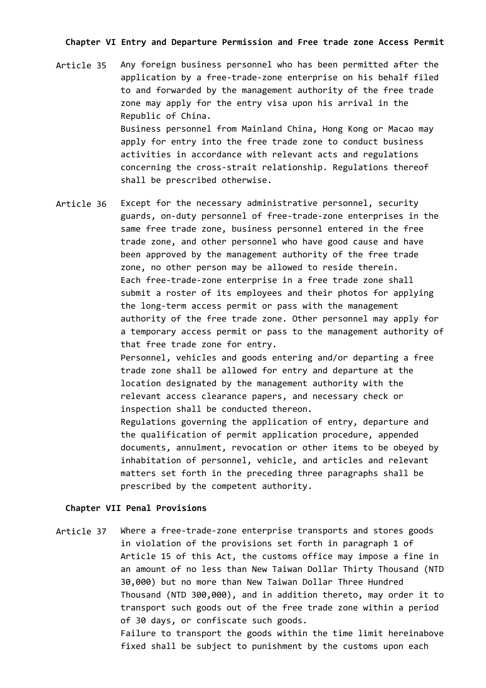## **Chapter VI Entry and Departure Permission and Free trade zone Access Permit**

- Article 35 Any foreign business personnel who has been permitted after the application by a free-trade-zone enterprise on his behalf filed to and forwarded by the management authority of the free trade zone may apply for the entry visa upon his arrival in the Republic of China. Business personnel from Mainland China, Hong Kong or Macao may apply for entry into the free trade zone to conduct business activities in accordance with relevant acts and regulations concerning the cross-strait relationship. Regulations thereof shall be prescribed otherwise.
- Article 36 Except for the necessary administrative personnel, security guards, on-duty personnel of free-trade-zone enterprises in the same free trade zone, business personnel entered in the free trade zone, and other personnel who have good cause and have been approved by the management authority of the free trade zone, no other person may be allowed to reside therein. Each free-trade-zone enterprise in a free trade zone shall submit a roster of its employees and their photos for applying the long-term access permit or pass with the management authority of the free trade zone. Other personnel may apply for a temporary access permit or pass to the management authority of that free trade zone for entry.

Personnel, vehicles and goods entering and/or departing a free trade zone shall be allowed for entry and departure at the location designated by the management authority with the relevant access clearance papers, and necessary check or inspection shall be conducted thereon.

Regulations governing the application of entry, departure and the qualification of permit application procedure, appended documents, annulment, revocation or other items to be obeyed by inhabitation of personnel, vehicle, and articles and relevant matters set forth in the preceding three paragraphs shall be prescribed by the competent authority.

#### **Chapter VII Penal Provisions**

Article 37 Where a free-trade-zone enterprise transports and stores goods in violation of the provisions set forth in paragraph 1 of Article 15 of this Act, the customs office may impose a fine in an amount of no less than New Taiwan Dollar Thirty Thousand (NTD 30,000) but no more than New Taiwan Dollar Three Hundred Thousand (NTD 300,000), and in addition thereto, may order it to transport such goods out of the free trade zone within a period of 30 days, or confiscate such goods. Failure to transport the goods within the time limit hereinabove fixed shall be subject to punishment by the customs upon each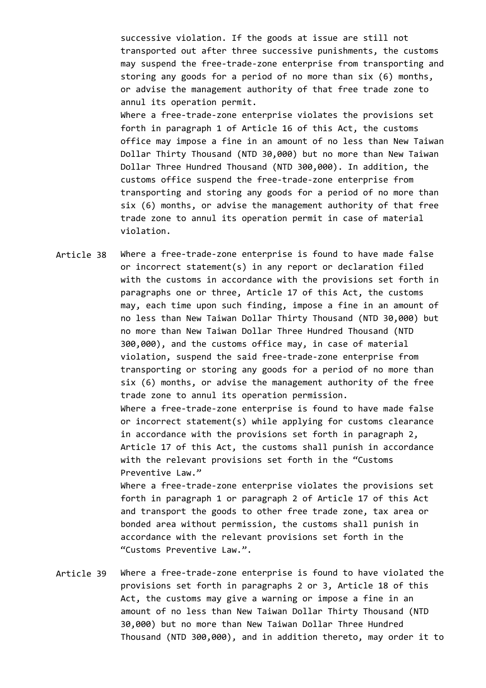successive violation. If the goods at issue are still not transported out after three successive punishments, the customs may suspend the free-trade-zone enterprise from transporting and storing any goods for a period of no more than six (6) months, or advise the management authority of that free trade zone to annul its operation permit. Where a free-trade-zone enterprise violates the provisions set forth in paragraph 1 of Article 16 of this Act, the customs office may impose a fine in an amount of no less than New Taiwan Dollar Thirty Thousand (NTD 30,000) but no more than New Taiwan Dollar Three Hundred Thousand (NTD 300,000). In addition, the customs office suspend the free-trade-zone enterprise from transporting and storing any goods for a period of no more than six (6) months, or advise the management authority of that free trade zone to annul its operation permit in case of material violation.

Article 38 Where a free-trade-zone enterprise is found to have made false or incorrect statement(s) in any report or declaration filed with the customs in accordance with the provisions set forth in paragraphs one or three, Article 17 of this Act, the customs may, each time upon such finding, impose a fine in an amount of no less than New Taiwan Dollar Thirty Thousand (NTD 30,000) but no more than New Taiwan Dollar Three Hundred Thousand (NTD 300,000), and the customs office may, in case of material violation, suspend the said free-trade-zone enterprise from transporting or storing any goods for a period of no more than six (6) months, or advise the management authority of the free trade zone to annul its operation permission. Where a free-trade-zone enterprise is found to have made false or incorrect statement(s) while applying for customs clearance in accordance with the provisions set forth in paragraph 2, Article 17 of this Act, the customs shall punish in accordance with the relevant provisions set forth in the "Customs Preventive Law." Where a free-trade-zone enterprise violates the provisions set forth in paragraph 1 or paragraph 2 of Article 17 of this Act and transport the goods to other free trade zone, tax area or

bonded area without permission, the customs shall punish in accordance with the relevant provisions set forth in the "Customs Preventive Law.".

Article 39 Where a free-trade-zone enterprise is found to have violated the provisions set forth in paragraphs 2 or 3, Article 18 of this Act, the customs may give a warning or impose a fine in an amount of no less than New Taiwan Dollar Thirty Thousand (NTD 30,000) but no more than New Taiwan Dollar Three Hundred Thousand (NTD 300,000), and in addition thereto, may order it to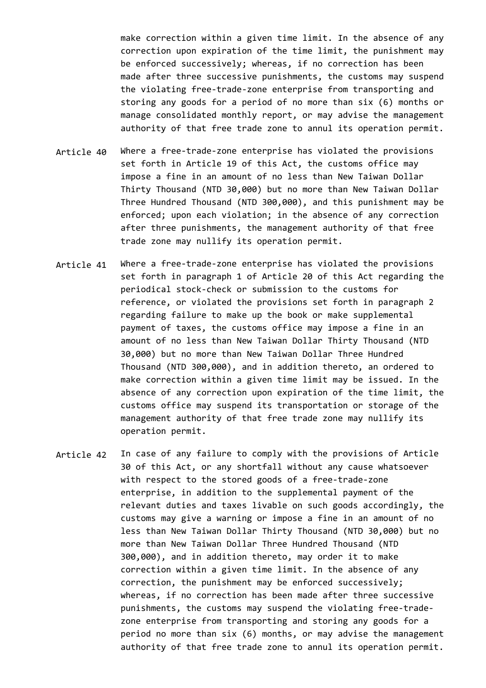make correction within a given time limit. In the absence of any correction upon expiration of the time limit, the punishment may be enforced successively; whereas, if no correction has been made after three successive punishments, the customs may suspend the violating free-trade-zone enterprise from transporting and storing any goods for a period of no more than six (6) months or manage consolidated monthly report, or may advise the management authority of that free trade zone to annul its operation permit.

- Article 40 Where a free-trade-zone enterprise has violated the provisions set forth in Article 19 of this Act, the customs office may impose a fine in an amount of no less than New Taiwan Dollar Thirty Thousand (NTD 30,000) but no more than New Taiwan Dollar Three Hundred Thousand (NTD 300,000), and this punishment may be enforced; upon each violation; in the absence of any correction after three punishments, the management authority of that free trade zone may nullify its operation permit.
- Article 41 Where a free-trade-zone enterprise has violated the provisions set forth in paragraph 1 of Article 20 of this Act regarding the periodical stock-check or submission to the customs for reference, or violated the provisions set forth in paragraph 2 regarding failure to make up the book or make supplemental payment of taxes, the customs office may impose a fine in an amount of no less than New Taiwan Dollar Thirty Thousand (NTD 30,000) but no more than New Taiwan Dollar Three Hundred Thousand (NTD 300,000), and in addition thereto, an ordered to make correction within a given time limit may be issued. In the absence of any correction upon expiration of the time limit, the customs office may suspend its transportation or storage of the management authority of that free trade zone may nullify its operation permit.
- Article 42 In case of any failure to comply with the provisions of Article 30 of this Act, or any shortfall without any cause whatsoever with respect to the stored goods of a free-trade-zone enterprise, in addition to the supplemental payment of the relevant duties and taxes livable on such goods accordingly, the customs may give a warning or impose a fine in an amount of no less than New Taiwan Dollar Thirty Thousand (NTD 30,000) but no more than New Taiwan Dollar Three Hundred Thousand (NTD 300,000), and in addition thereto, may order it to make correction within a given time limit. In the absence of any correction, the punishment may be enforced successively; whereas, if no correction has been made after three successive punishments, the customs may suspend the violating free-tradezone enterprise from transporting and storing any goods for a period no more than six (6) months, or may advise the management authority of that free trade zone to annul its operation permit.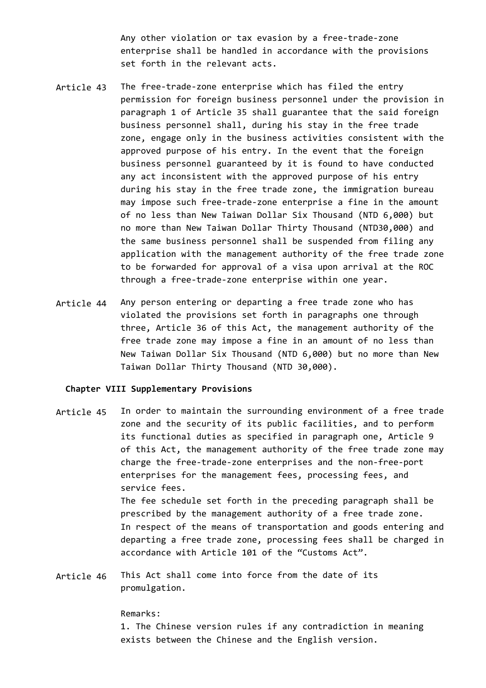Any other violation or tax evasion by a free-trade-zone enterprise shall be handled in accordance with the provisions set forth in the relevant acts.

- Article 43 The free-trade-zone enterprise which has filed the entry permission for foreign business personnel under the provision in paragraph 1 of Article 35 shall guarantee that the said foreign business personnel shall, during his stay in the free trade zone, engage only in the business activities consistent with the approved purpose of his entry. In the event that the foreign business personnel guaranteed by it is found to have conducted any act inconsistent with the approved purpose of his entry during his stay in the free trade zone, the immigration bureau may impose such free-trade-zone enterprise a fine in the amount of no less than New Taiwan Dollar Six Thousand (NTD 6,000) but no more than New Taiwan Dollar Thirty Thousand (NTD30,000) and the same business personnel shall be suspended from filing any application with the management authority of the free trade zone to be forwarded for approval of a visa upon arrival at the ROC through a free-trade-zone enterprise within one year.
- Article 44 Any person entering or departing a free trade zone who has violated the provisions set forth in paragraphs one through three, Article 36 of this Act, the management authority of the free trade zone may impose a fine in an amount of no less than New Taiwan Dollar Six Thousand (NTD 6,000) but no more than New Taiwan Dollar Thirty Thousand (NTD 30,000).

### **Chapter VIII Supplementary Provisions**

- Article 45 In order to maintain the surrounding environment of a free trade zone and the security of its public facilities, and to perform its functional duties as specified in paragraph one, Article 9 of this Act, the management authority of the free trade zone may charge the free-trade-zone enterprises and the non-free-port enterprises for the management fees, processing fees, and service fees. The fee schedule set forth in the preceding paragraph shall be prescribed by the management authority of a free trade zone. In respect of the means of transportation and goods entering and departing a free trade zone, processing fees shall be charged in accordance with Article 101 of the "Customs Act".
- Article 46 This Act shall come into force from the date of its promulgation.

#### Remarks:

1. The Chinese version rules if any contradiction in meaning exists between the Chinese and the English version.